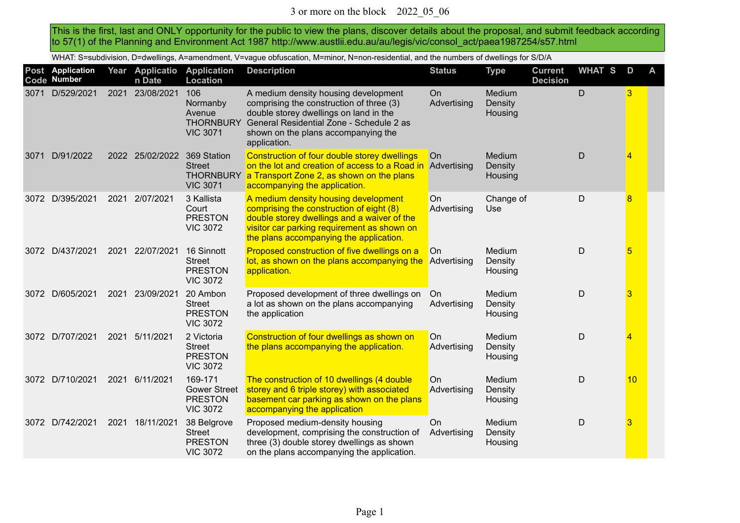This is the first, last and ONLY opportunity for the public to view the plans, discover details about the proposal, and submit feedback according to 57(1) of the Planning and Environment Act 1987 http://www.austlii.edu.au/au/legis/vic/consol\_act/paea1987254/s57.html

WHAT: S=subdivision, D=dwellings, A=amendment, V=vague obfuscation, M=minor, N=non-residential, and the numbers of dwellings for S/D/A

|      | Post Application<br>Code Number |      | Year Applicatio<br>n Date | <b>Application</b><br><b>Location</b>                               | <b>Description</b>                                                                                                                                                                                                            | <b>Status</b>            | <b>Type</b>                  | <b>Current</b><br><b>Decision</b> | <b>WHAT S</b> | D  | A |
|------|---------------------------------|------|---------------------------|---------------------------------------------------------------------|-------------------------------------------------------------------------------------------------------------------------------------------------------------------------------------------------------------------------------|--------------------------|------------------------------|-----------------------------------|---------------|----|---|
| 3071 | D/529/2021                      | 2021 | 23/08/2021                | 106<br>Normanby<br>Avenue<br><b>THORNBURY</b><br><b>VIC 3071</b>    | A medium density housing development<br>comprising the construction of three (3)<br>double storey dwellings on land in the<br>General Residential Zone - Schedule 2 as<br>shown on the plans accompanying the<br>application. | <b>On</b><br>Advertising | Medium<br>Density<br>Housing |                                   | $\mathsf D$   | 3  |   |
| 3071 | D/91/2022                       |      | 2022 25/02/2022           | 369 Station<br><b>Street</b><br><b>THORNBURY</b><br><b>VIC 3071</b> | Construction of four double storey dwellings<br>on the lot and creation of access to a Road in<br>a Transport Zone 2, as shown on the plans<br>accompanying the application.                                                  | On<br>Advertising        | Medium<br>Density<br>Housing |                                   | D             | 4  |   |
| 3072 | D/395/2021                      | 2021 | 2/07/2021                 | 3 Kallista<br>Court<br><b>PRESTON</b><br><b>VIC 3072</b>            | A medium density housing development<br>comprising the construction of eight (8)<br>double storey dwellings and a waiver of the<br>visitor car parking requirement as shown on<br>the plans accompanying the application.     | On<br>Advertising        | Change of<br>Use             |                                   | $\mathsf D$   | 8  |   |
| 3072 | D/437/2021                      | 2021 | 22/07/2021                | 16 Sinnott<br>Street<br><b>PRESTON</b><br><b>VIC 3072</b>           | Proposed construction of five dwellings on a<br>lot, as shown on the plans accompanying the<br>application.                                                                                                                   | On<br>Advertising        | Medium<br>Density<br>Housing |                                   | D             | 5  |   |
|      | 3072 D/605/2021                 | 2021 | 23/09/2021                | 20 Ambon<br><b>Street</b><br><b>PRESTON</b><br><b>VIC 3072</b>      | Proposed development of three dwellings on<br>a lot as shown on the plans accompanying<br>the application                                                                                                                     | On<br>Advertising        | Medium<br>Density<br>Housing |                                   | $\mathsf D$   | 3  |   |
|      | 3072 D/707/2021                 | 2021 | 5/11/2021                 | 2 Victoria<br><b>Street</b><br><b>PRESTON</b><br><b>VIC 3072</b>    | Construction of four dwellings as shown on<br>the plans accompanying the application.                                                                                                                                         | On<br>Advertising        | Medium<br>Density<br>Housing |                                   | $\mathsf D$   | 4  |   |
|      | 3072 D/710/2021                 | 2021 | 6/11/2021                 | 169-171<br><b>Gower Street</b><br><b>PRESTON</b><br><b>VIC 3072</b> | The construction of 10 dwellings (4 double<br>storey and 6 triple storey) with associated<br>basement car parking as shown on the plans<br>accompanying the application                                                       | On<br>Advertising        | Medium<br>Density<br>Housing |                                   | D             | 10 |   |
|      | 3072 D/742/2021                 | 2021 | 18/11/2021                | 38 Belgrove<br><b>Street</b><br><b>PRESTON</b><br><b>VIC 3072</b>   | Proposed medium-density housing<br>development, comprising the construction of<br>three (3) double storey dwellings as shown<br>on the plans accompanying the application.                                                    | On<br>Advertising        | Medium<br>Density<br>Housing |                                   | D             | 3  |   |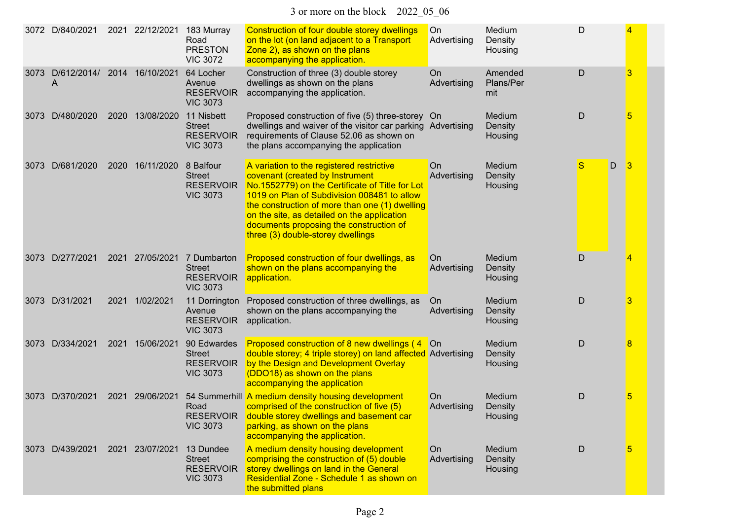3 or more on the block 2022\_05\_06

| 3072 | D/840/2021                       | 2021 | 22/12/2021      | 183 Murray<br>Road<br><b>PRESTON</b><br><b>VIC 3072</b>             | Construction of four double storey dwellings<br>on the lot (on land adjacent to a Transport<br>Zone 2), as shown on the plans<br>accompanying the application.                                                                                                                                                                                                  | On<br>Advertising | Medium<br>Density<br>Housing | D      |   |
|------|----------------------------------|------|-----------------|---------------------------------------------------------------------|-----------------------------------------------------------------------------------------------------------------------------------------------------------------------------------------------------------------------------------------------------------------------------------------------------------------------------------------------------------------|-------------------|------------------------------|--------|---|
| 3073 | D/612/2014/ 2014 16/10/2021<br>A |      |                 | 64 Locher<br>Avenue<br><b>RESERVOIR</b><br><b>VIC 3073</b>          | Construction of three (3) double storey<br>dwellings as shown on the plans<br>accompanying the application.                                                                                                                                                                                                                                                     | On<br>Advertising | Amended<br>Plans/Per<br>mit  | D      | 3 |
| 3073 | D/480/2020                       |      | 2020 13/08/2020 | 11 Nisbett<br><b>Street</b><br><b>RESERVOIR</b><br><b>VIC 3073</b>  | Proposed construction of five (5) three-storey On<br>dwellings and waiver of the visitor car parking Advertising<br>requirements of Clause 52.06 as shown on<br>the plans accompanying the application                                                                                                                                                          |                   | Medium<br>Density<br>Housing | D      | 5 |
| 3073 | D/681/2020                       |      | 2020 16/11/2020 | 8 Balfour<br><b>Street</b><br><b>RESERVOIR</b><br><b>VIC 3073</b>   | A variation to the registered restrictive<br>covenant (created by Instrument<br>No.1552779) on the Certificate of Title for Lot<br>1019 on Plan of Subdivision 008481 to allow<br>the construction of more than one (1) dwelling<br>on the site, as detailed on the application<br>documents proposing the construction of<br>three (3) double-storey dwellings | On<br>Advertising | Medium<br>Density<br>Housing | S<br>D | 3 |
|      | 3073 D/277/2021                  | 2021 | 27/05/2021      | 7 Dumbarton<br><b>Street</b><br><b>RESERVOIR</b><br><b>VIC 3073</b> | Proposed construction of four dwellings, as<br>shown on the plans accompanying the<br>application.                                                                                                                                                                                                                                                              | On<br>Advertising | Medium<br>Density<br>Housing | D      |   |
|      | 3073 D/31/2021                   | 2021 | 1/02/2021       | 11 Dorrington<br>Avenue<br><b>RESERVOIR</b><br><b>VIC 3073</b>      | Proposed construction of three dwellings, as<br>shown on the plans accompanying the<br>application.                                                                                                                                                                                                                                                             | On<br>Advertising | Medium<br>Density<br>Housing | D      | 3 |
| 3073 | D/334/2021                       | 2021 | 15/06/2021      | 90 Edwardes<br><b>Street</b><br><b>RESERVOIR</b><br><b>VIC 3073</b> | Proposed construction of 8 new dwellings (4<br>double storey; 4 triple storey) on land affected Advertising<br>by the Design and Development Overlay<br>(DDO18) as shown on the plans<br>accompanying the application                                                                                                                                           | <b>On</b>         | Medium<br>Density<br>Housing | D      | 8 |
| 3073 | D/370/2021                       | 2021 | 29/06/2021      | Road<br><b>RESERVOIR</b><br><b>VIC 3073</b>                         | 54 Summerhill A medium density housing development<br>comprised of the construction of five (5)<br>double storey dwellings and basement car<br>parking, as shown on the plans<br>accompanying the application.                                                                                                                                                  | On<br>Advertising | Medium<br>Density<br>Housing | D      | 5 |
|      | 3073 D/439/2021                  |      | 2021 23/07/2021 | 13 Dundee<br><b>Street</b><br><b>RESERVOIR</b><br><b>VIC 3073</b>   | A medium density housing development<br>comprising the construction of (5) double<br>storey dwellings on land in the General<br>Residential Zone - Schedule 1 as shown on<br>the submitted plans                                                                                                                                                                | On<br>Advertising | Medium<br>Density<br>Housing | D      | 5 |